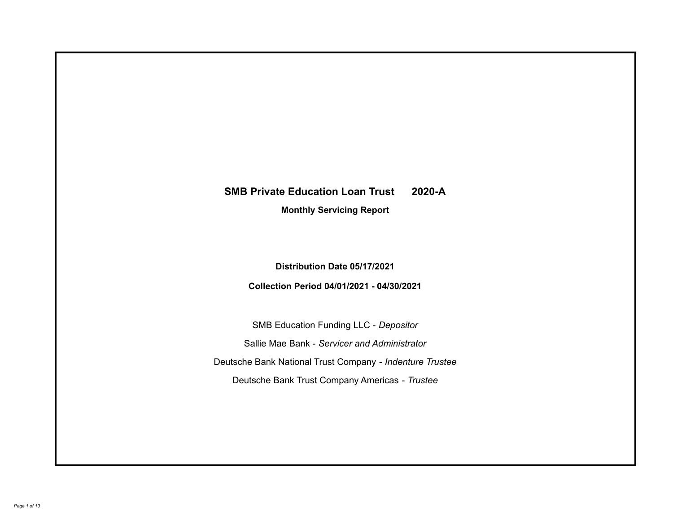# **SMB Private Education Loan Trust 2020-A**

**Monthly Servicing Report**

**Distribution Date 05/17/2021**

**Collection Period 04/01/2021 - 04/30/2021**

SMB Education Funding LLC - *Depositor* Sallie Mae Bank - *Servicer and Administrator* Deutsche Bank National Trust Company - *Indenture Trustee* Deutsche Bank Trust Company Americas - *Trustee*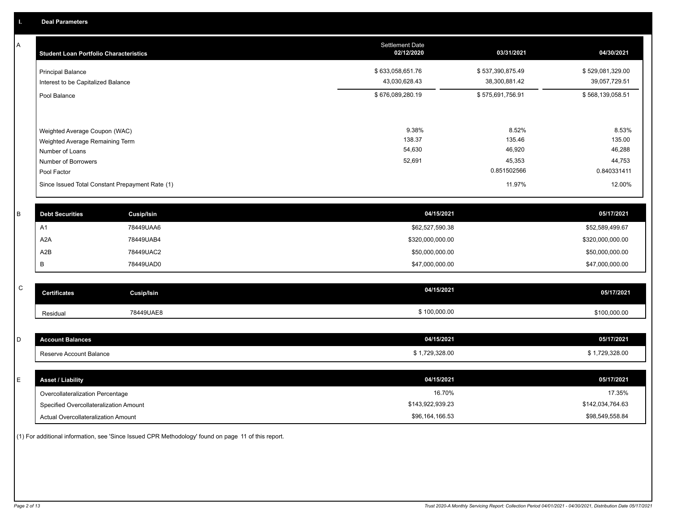A

| <b>Student Loan Portfolio Characteristics</b>                                                                             | <b>Settlement Date</b><br>02/12/2020 | 03/31/2021                                         | 04/30/2021                                         |
|---------------------------------------------------------------------------------------------------------------------------|--------------------------------------|----------------------------------------------------|----------------------------------------------------|
| <b>Principal Balance</b><br>Interest to be Capitalized Balance                                                            | \$633,058,651.76<br>43,030,628.43    | \$537,390,875.49<br>38,300,881.42                  | \$529,081,329.00<br>39,057,729.51                  |
| Pool Balance                                                                                                              | \$676,089,280.19                     | \$575,691,756.91                                   | \$568,139,058.51                                   |
| Weighted Average Coupon (WAC)<br>Weighted Average Remaining Term<br>Number of Loans<br>Number of Borrowers<br>Pool Factor | 9.38%<br>138.37<br>54,630<br>52,691  | 8.52%<br>135.46<br>46,920<br>45,353<br>0.851502566 | 8.53%<br>135.00<br>46,288<br>44,753<br>0.840331411 |
| Since Issued Total Constant Prepayment Rate (1)                                                                           |                                      | 11.97%                                             | 12.00%                                             |

| <b>Debt Securities</b> | <b>Cusip/Isin</b> | 04/15/2021       | 05/17/2021       |
|------------------------|-------------------|------------------|------------------|
| A <sup>1</sup>         | 78449UAA6         | \$62,527,590.38  | \$52,589,499.67  |
| A2A                    | 78449UAB4         | \$320,000,000.00 | \$320,000,000.00 |
| A2B                    | 78449UAC2         | \$50,000,000.00  | \$50,000,000.00  |
|                        | 78449UAD0         | \$47,000,000.00  | \$47,000,000.00  |

| $\sim$<br>◡ | <b>Certificates</b> | Cusip/Isin | 04/15/2021   | 05/17/2021   |
|-------------|---------------------|------------|--------------|--------------|
|             | Residual            | 78449UAE8  | \$100,000.00 | \$100,000.00 |

|        | <b>Account Balances</b> | 04/15/2021      | 05/17/2021       |
|--------|-------------------------|-----------------|------------------|
|        | Reserve Account Balance | \$1,729,328.00  | \$1,729,328.00   |
|        |                         |                 |                  |
| $\sim$ |                         | $A + B = B + B$ | $A = 14 = 10004$ |

| Asset / Liability                      | 04/15/2021       | 05/17/2021       |
|----------------------------------------|------------------|------------------|
| Overcollateralization Percentage       | 16.70%           | 17.35%           |
| Specified Overcollateralization Amount | \$143,922,939.23 | \$142.034.764.63 |
| Actual Overcollateralization Amount    | \$96,164,166.53  | \$98,549,558.84  |

(1) For additional information, see 'Since Issued CPR Methodology' found on page 11 of this report.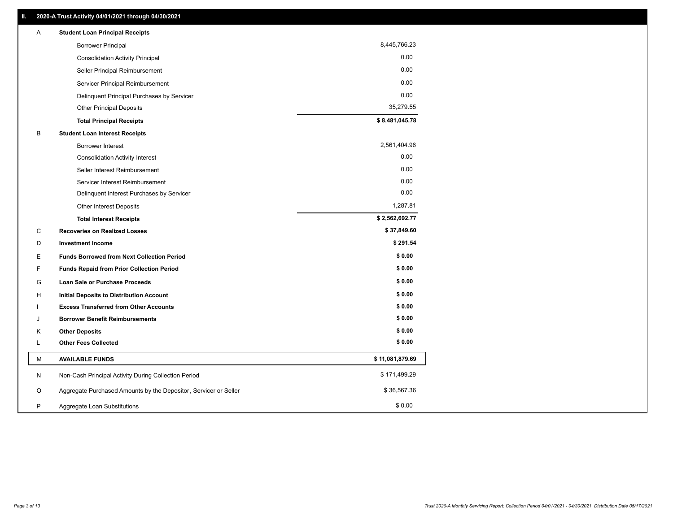| 8,445,766.23<br><b>Borrower Principal</b><br>0.00<br><b>Consolidation Activity Principal</b><br>0.00<br>Seller Principal Reimbursement<br>0.00<br>Servicer Principal Reimbursement<br>0.00<br>Delinquent Principal Purchases by Servicer<br>35,279.55<br><b>Other Principal Deposits</b><br>\$8,481,045.78<br><b>Total Principal Receipts</b><br>В<br><b>Student Loan Interest Receipts</b><br>2,561,404.96<br><b>Borrower Interest</b><br>0.00<br><b>Consolidation Activity Interest</b><br>0.00<br>Seller Interest Reimbursement<br>0.00<br>Servicer Interest Reimbursement<br>0.00<br>Delinquent Interest Purchases by Servicer<br>1,287.81<br><b>Other Interest Deposits</b><br>\$2,562,692.77<br><b>Total Interest Receipts</b><br>\$37,849.60<br>C<br><b>Recoveries on Realized Losses</b><br>\$291.54<br>D<br><b>Investment Income</b><br>\$0.00<br>Е<br><b>Funds Borrowed from Next Collection Period</b><br>\$0.00<br>F.<br><b>Funds Repaid from Prior Collection Period</b><br>\$0.00<br>G<br>Loan Sale or Purchase Proceeds<br>\$0.00<br>н<br>Initial Deposits to Distribution Account<br>\$0.00<br><b>Excess Transferred from Other Accounts</b><br>\$0.00<br><b>Borrower Benefit Reimbursements</b><br>J<br>\$0.00<br><b>Other Deposits</b><br>Κ<br>\$0.00<br>L<br><b>Other Fees Collected</b><br>\$11,081,879.69<br>м<br><b>AVAILABLE FUNDS</b><br>\$171,499.29<br>Non-Cash Principal Activity During Collection Period<br>N<br>\$36,567.36<br>Aggregate Purchased Amounts by the Depositor, Servicer or Seller<br>O<br>\$0.00<br>P<br>Aggregate Loan Substitutions | Α | <b>Student Loan Principal Receipts</b> |  |
|-----------------------------------------------------------------------------------------------------------------------------------------------------------------------------------------------------------------------------------------------------------------------------------------------------------------------------------------------------------------------------------------------------------------------------------------------------------------------------------------------------------------------------------------------------------------------------------------------------------------------------------------------------------------------------------------------------------------------------------------------------------------------------------------------------------------------------------------------------------------------------------------------------------------------------------------------------------------------------------------------------------------------------------------------------------------------------------------------------------------------------------------------------------------------------------------------------------------------------------------------------------------------------------------------------------------------------------------------------------------------------------------------------------------------------------------------------------------------------------------------------------------------------------------------------------------------------------|---|----------------------------------------|--|
|                                                                                                                                                                                                                                                                                                                                                                                                                                                                                                                                                                                                                                                                                                                                                                                                                                                                                                                                                                                                                                                                                                                                                                                                                                                                                                                                                                                                                                                                                                                                                                                   |   |                                        |  |
|                                                                                                                                                                                                                                                                                                                                                                                                                                                                                                                                                                                                                                                                                                                                                                                                                                                                                                                                                                                                                                                                                                                                                                                                                                                                                                                                                                                                                                                                                                                                                                                   |   |                                        |  |
|                                                                                                                                                                                                                                                                                                                                                                                                                                                                                                                                                                                                                                                                                                                                                                                                                                                                                                                                                                                                                                                                                                                                                                                                                                                                                                                                                                                                                                                                                                                                                                                   |   |                                        |  |
|                                                                                                                                                                                                                                                                                                                                                                                                                                                                                                                                                                                                                                                                                                                                                                                                                                                                                                                                                                                                                                                                                                                                                                                                                                                                                                                                                                                                                                                                                                                                                                                   |   |                                        |  |
|                                                                                                                                                                                                                                                                                                                                                                                                                                                                                                                                                                                                                                                                                                                                                                                                                                                                                                                                                                                                                                                                                                                                                                                                                                                                                                                                                                                                                                                                                                                                                                                   |   |                                        |  |
|                                                                                                                                                                                                                                                                                                                                                                                                                                                                                                                                                                                                                                                                                                                                                                                                                                                                                                                                                                                                                                                                                                                                                                                                                                                                                                                                                                                                                                                                                                                                                                                   |   |                                        |  |
|                                                                                                                                                                                                                                                                                                                                                                                                                                                                                                                                                                                                                                                                                                                                                                                                                                                                                                                                                                                                                                                                                                                                                                                                                                                                                                                                                                                                                                                                                                                                                                                   |   |                                        |  |
|                                                                                                                                                                                                                                                                                                                                                                                                                                                                                                                                                                                                                                                                                                                                                                                                                                                                                                                                                                                                                                                                                                                                                                                                                                                                                                                                                                                                                                                                                                                                                                                   |   |                                        |  |
|                                                                                                                                                                                                                                                                                                                                                                                                                                                                                                                                                                                                                                                                                                                                                                                                                                                                                                                                                                                                                                                                                                                                                                                                                                                                                                                                                                                                                                                                                                                                                                                   |   |                                        |  |
|                                                                                                                                                                                                                                                                                                                                                                                                                                                                                                                                                                                                                                                                                                                                                                                                                                                                                                                                                                                                                                                                                                                                                                                                                                                                                                                                                                                                                                                                                                                                                                                   |   |                                        |  |
|                                                                                                                                                                                                                                                                                                                                                                                                                                                                                                                                                                                                                                                                                                                                                                                                                                                                                                                                                                                                                                                                                                                                                                                                                                                                                                                                                                                                                                                                                                                                                                                   |   |                                        |  |
|                                                                                                                                                                                                                                                                                                                                                                                                                                                                                                                                                                                                                                                                                                                                                                                                                                                                                                                                                                                                                                                                                                                                                                                                                                                                                                                                                                                                                                                                                                                                                                                   |   |                                        |  |
|                                                                                                                                                                                                                                                                                                                                                                                                                                                                                                                                                                                                                                                                                                                                                                                                                                                                                                                                                                                                                                                                                                                                                                                                                                                                                                                                                                                                                                                                                                                                                                                   |   |                                        |  |
|                                                                                                                                                                                                                                                                                                                                                                                                                                                                                                                                                                                                                                                                                                                                                                                                                                                                                                                                                                                                                                                                                                                                                                                                                                                                                                                                                                                                                                                                                                                                                                                   |   |                                        |  |
|                                                                                                                                                                                                                                                                                                                                                                                                                                                                                                                                                                                                                                                                                                                                                                                                                                                                                                                                                                                                                                                                                                                                                                                                                                                                                                                                                                                                                                                                                                                                                                                   |   |                                        |  |
|                                                                                                                                                                                                                                                                                                                                                                                                                                                                                                                                                                                                                                                                                                                                                                                                                                                                                                                                                                                                                                                                                                                                                                                                                                                                                                                                                                                                                                                                                                                                                                                   |   |                                        |  |
|                                                                                                                                                                                                                                                                                                                                                                                                                                                                                                                                                                                                                                                                                                                                                                                                                                                                                                                                                                                                                                                                                                                                                                                                                                                                                                                                                                                                                                                                                                                                                                                   |   |                                        |  |
|                                                                                                                                                                                                                                                                                                                                                                                                                                                                                                                                                                                                                                                                                                                                                                                                                                                                                                                                                                                                                                                                                                                                                                                                                                                                                                                                                                                                                                                                                                                                                                                   |   |                                        |  |
|                                                                                                                                                                                                                                                                                                                                                                                                                                                                                                                                                                                                                                                                                                                                                                                                                                                                                                                                                                                                                                                                                                                                                                                                                                                                                                                                                                                                                                                                                                                                                                                   |   |                                        |  |
|                                                                                                                                                                                                                                                                                                                                                                                                                                                                                                                                                                                                                                                                                                                                                                                                                                                                                                                                                                                                                                                                                                                                                                                                                                                                                                                                                                                                                                                                                                                                                                                   |   |                                        |  |
|                                                                                                                                                                                                                                                                                                                                                                                                                                                                                                                                                                                                                                                                                                                                                                                                                                                                                                                                                                                                                                                                                                                                                                                                                                                                                                                                                                                                                                                                                                                                                                                   |   |                                        |  |
|                                                                                                                                                                                                                                                                                                                                                                                                                                                                                                                                                                                                                                                                                                                                                                                                                                                                                                                                                                                                                                                                                                                                                                                                                                                                                                                                                                                                                                                                                                                                                                                   |   |                                        |  |
|                                                                                                                                                                                                                                                                                                                                                                                                                                                                                                                                                                                                                                                                                                                                                                                                                                                                                                                                                                                                                                                                                                                                                                                                                                                                                                                                                                                                                                                                                                                                                                                   |   |                                        |  |
|                                                                                                                                                                                                                                                                                                                                                                                                                                                                                                                                                                                                                                                                                                                                                                                                                                                                                                                                                                                                                                                                                                                                                                                                                                                                                                                                                                                                                                                                                                                                                                                   |   |                                        |  |
|                                                                                                                                                                                                                                                                                                                                                                                                                                                                                                                                                                                                                                                                                                                                                                                                                                                                                                                                                                                                                                                                                                                                                                                                                                                                                                                                                                                                                                                                                                                                                                                   |   |                                        |  |
|                                                                                                                                                                                                                                                                                                                                                                                                                                                                                                                                                                                                                                                                                                                                                                                                                                                                                                                                                                                                                                                                                                                                                                                                                                                                                                                                                                                                                                                                                                                                                                                   |   |                                        |  |
|                                                                                                                                                                                                                                                                                                                                                                                                                                                                                                                                                                                                                                                                                                                                                                                                                                                                                                                                                                                                                                                                                                                                                                                                                                                                                                                                                                                                                                                                                                                                                                                   |   |                                        |  |
|                                                                                                                                                                                                                                                                                                                                                                                                                                                                                                                                                                                                                                                                                                                                                                                                                                                                                                                                                                                                                                                                                                                                                                                                                                                                                                                                                                                                                                                                                                                                                                                   |   |                                        |  |
|                                                                                                                                                                                                                                                                                                                                                                                                                                                                                                                                                                                                                                                                                                                                                                                                                                                                                                                                                                                                                                                                                                                                                                                                                                                                                                                                                                                                                                                                                                                                                                                   |   |                                        |  |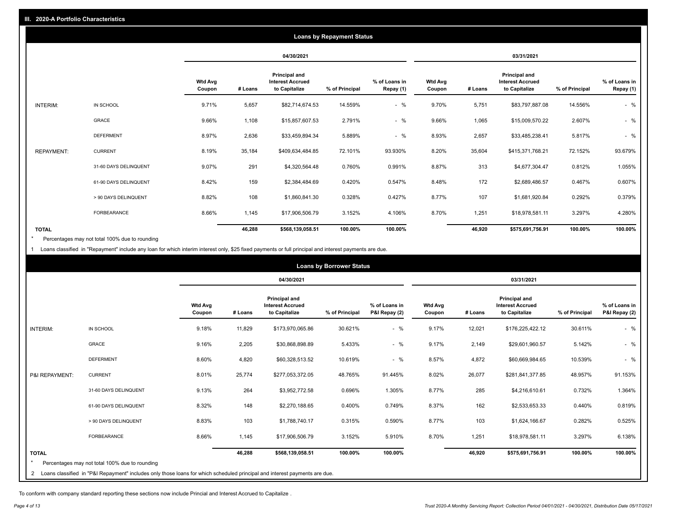|                   |                       |                          |         |                                                           | <b>Loans by Repayment Status</b> |                            |                          |         |                                                                  |                |                            |
|-------------------|-----------------------|--------------------------|---------|-----------------------------------------------------------|----------------------------------|----------------------------|--------------------------|---------|------------------------------------------------------------------|----------------|----------------------------|
|                   |                       |                          |         | 04/30/2021                                                |                                  |                            |                          |         | 03/31/2021                                                       |                |                            |
|                   |                       | <b>Wtd Avg</b><br>Coupon | # Loans | Principal and<br><b>Interest Accrued</b><br>to Capitalize | % of Principal                   | % of Loans in<br>Repay (1) | <b>Wtd Avg</b><br>Coupon | # Loans | <b>Principal and</b><br><b>Interest Accrued</b><br>to Capitalize | % of Principal | % of Loans in<br>Repay (1) |
| INTERIM:          | IN SCHOOL             | 9.71%                    | 5,657   | \$82,714,674.53                                           | 14.559%                          | $-$ %                      | 9.70%                    | 5,751   | \$83,797,887.08                                                  | 14.556%        | $-$ %                      |
|                   | GRACE                 | 9.66%                    | 1,108   | \$15,857,607.53                                           | 2.791%                           | $-$ %                      | 9.66%                    | 1,065   | \$15,009,570.22                                                  | 2.607%         | $-$ %                      |
|                   | <b>DEFERMENT</b>      | 8.97%                    | 2,636   | \$33,459,894.34                                           | 5.889%                           | $-$ %                      | 8.93%                    | 2,657   | \$33,485,238.41                                                  | 5.817%         | $-$ %                      |
| <b>REPAYMENT:</b> | <b>CURRENT</b>        | 8.19%                    | 35,184  | \$409,634,484.85                                          | 72.101%                          | 93.930%                    | 8.20%                    | 35,604  | \$415,371,768.21                                                 | 72.152%        | 93.679%                    |
|                   | 31-60 DAYS DELINQUENT | 9.07%                    | 291     | \$4,320,564.48                                            | 0.760%                           | 0.991%                     | 8.87%                    | 313     | \$4,677,304.47                                                   | 0.812%         | 1.055%                     |
|                   | 61-90 DAYS DELINQUENT | 8.42%                    | 159     | \$2,384,484.69                                            | 0.420%                           | 0.547%                     | 8.48%                    | 172     | \$2,689,486.57                                                   | 0.467%         | 0.607%                     |
|                   | > 90 DAYS DELINQUENT  | 8.82%                    | 108     | \$1,860,841.30                                            | 0.328%                           | 0.427%                     | 8.77%                    | 107     | \$1,681,920.84                                                   | 0.292%         | 0.379%                     |
|                   | <b>FORBEARANCE</b>    | 8.66%                    | 1,145   | \$17,906,506.79                                           | 3.152%                           | 4.106%                     | 8.70%                    | 1,251   | \$18,978,581.11                                                  | 3.297%         | 4.280%                     |
| <b>TOTAL</b>      |                       |                          | 46,288  | \$568,139,058.51                                          | 100.00%                          | 100.00%                    |                          | 46,920  | \$575,691,756.91                                                 | 100.00%        | 100.00%                    |

Percentages may not total 100% due to rounding  $\pmb{\ast}$ 

1 Loans classified in "Repayment" include any loan for which interim interest only, \$25 fixed payments or full principal and interest payments are due.

|                |                                                                                                                            |                          |         |                                                                  | <b>Loans by Borrower Status</b> |                                |                          |         |                                                           |                |                                |
|----------------|----------------------------------------------------------------------------------------------------------------------------|--------------------------|---------|------------------------------------------------------------------|---------------------------------|--------------------------------|--------------------------|---------|-----------------------------------------------------------|----------------|--------------------------------|
|                |                                                                                                                            |                          |         | 04/30/2021                                                       |                                 |                                |                          |         | 03/31/2021                                                |                |                                |
|                |                                                                                                                            | <b>Wtd Avg</b><br>Coupon | # Loans | <b>Principal and</b><br><b>Interest Accrued</b><br>to Capitalize | % of Principal                  | % of Loans in<br>P&I Repay (2) | <b>Wtd Avg</b><br>Coupon | # Loans | Principal and<br><b>Interest Accrued</b><br>to Capitalize | % of Principal | % of Loans in<br>P&I Repay (2) |
| INTERIM:       | IN SCHOOL                                                                                                                  | 9.18%                    | 11,829  | \$173,970,065.86                                                 | 30.621%                         | $-$ %                          | 9.17%                    | 12,021  | \$176,225,422.12                                          | 30.611%        | $-$ %                          |
|                | GRACE                                                                                                                      | 9.16%                    | 2,205   | \$30,868,898.89                                                  | 5.433%                          | $-$ %                          | 9.17%                    | 2,149   | \$29,601,960.57                                           | 5.142%         | $-$ %                          |
|                | <b>DEFERMENT</b>                                                                                                           | 8.60%                    | 4,820   | \$60,328,513.52                                                  | 10.619%                         | $-$ %                          | 8.57%                    | 4,872   | \$60,669,984.65                                           | 10.539%        | $-$ %                          |
| P&I REPAYMENT: | <b>CURRENT</b>                                                                                                             | 8.01%                    | 25,774  | \$277,053,372.05                                                 | 48.765%                         | 91.445%                        | 8.02%                    | 26,077  | \$281,841,377.85                                          | 48.957%        | 91.153%                        |
|                | 31-60 DAYS DELINQUENT                                                                                                      | 9.13%                    | 264     | \$3,952,772.58                                                   | 0.696%                          | 1.305%                         | 8.77%                    | 285     | \$4,216,610.61                                            | 0.732%         | 1.364%                         |
|                | 61-90 DAYS DELINQUENT                                                                                                      | 8.32%                    | 148     | \$2,270,188.65                                                   | 0.400%                          | 0.749%                         | 8.37%                    | 162     | \$2,533,653.33                                            | 0.440%         | 0.819%                         |
|                | > 90 DAYS DELINQUENT                                                                                                       | 8.83%                    | 103     | \$1,788,740.17                                                   | 0.315%                          | 0.590%                         | 8.77%                    | 103     | \$1,624,166.67                                            | 0.282%         | 0.525%                         |
|                | FORBEARANCE                                                                                                                | 8.66%                    | 1,145   | \$17,906,506.79                                                  | 3.152%                          | 5.910%                         | 8.70%                    | 1,251   | \$18,978,581.11                                           | 3.297%         | 6.138%                         |
| <b>TOTAL</b>   |                                                                                                                            |                          | 46,288  | \$568,139,058.51                                                 | 100.00%                         | 100.00%                        |                          | 46,920  | \$575,691,756.91                                          | 100.00%        | 100.00%                        |
|                | Percentages may not total 100% due to rounding                                                                             |                          |         |                                                                  |                                 |                                |                          |         |                                                           |                |                                |
| $\overline{2}$ | Loans classified in "P&I Repayment" includes only those loans for which scheduled principal and interest payments are due. |                          |         |                                                                  |                                 |                                |                          |         |                                                           |                |                                |

To conform with company standard reporting these sections now include Princial and Interest Accrued to Capitalize .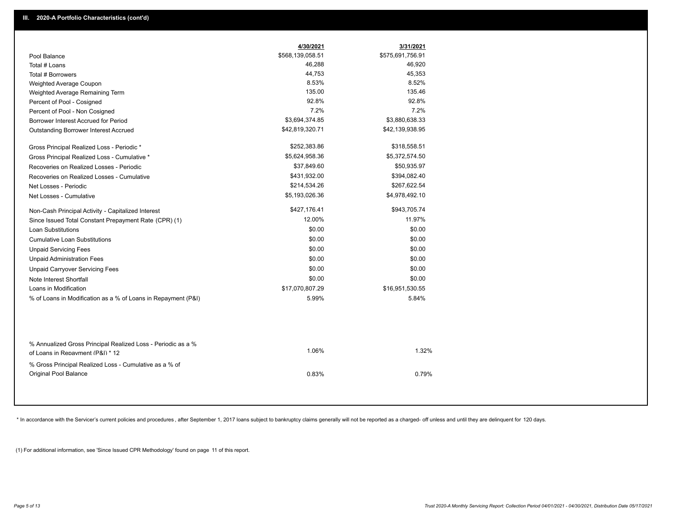|                                                                                                  | 4/30/2021<br>\$568,139,058.51 | 3/31/2021<br>\$575,691,756.91 |
|--------------------------------------------------------------------------------------------------|-------------------------------|-------------------------------|
| Pool Balance<br>Total # Loans                                                                    | 46,288                        | 46,920                        |
| Total # Borrowers                                                                                | 44,753                        | 45,353                        |
| Weighted Average Coupon                                                                          | 8.53%                         | 8.52%                         |
| Weighted Average Remaining Term                                                                  | 135.00                        | 135.46                        |
| Percent of Pool - Cosigned                                                                       | 92.8%                         | 92.8%                         |
| Percent of Pool - Non Cosigned                                                                   | 7.2%                          | 7.2%                          |
| Borrower Interest Accrued for Period                                                             | \$3,694,374.85                | \$3,880,638.33                |
| Outstanding Borrower Interest Accrued                                                            | \$42,819,320.71               | \$42,139,938.95               |
|                                                                                                  |                               |                               |
| Gross Principal Realized Loss - Periodic *                                                       | \$252,383.86                  | \$318,558.51                  |
| Gross Principal Realized Loss - Cumulative *                                                     | \$5,624,958.36                | \$5,372,574.50                |
| Recoveries on Realized Losses - Periodic                                                         | \$37,849.60                   | \$50,935.97                   |
| Recoveries on Realized Losses - Cumulative                                                       | \$431,932.00                  | \$394,082.40                  |
| Net Losses - Periodic                                                                            | \$214,534.26                  | \$267,622.54                  |
| Net Losses - Cumulative                                                                          | \$5,193,026.36                | \$4,978,492.10                |
| Non-Cash Principal Activity - Capitalized Interest                                               | \$427,176.41                  | \$943,705.74                  |
| Since Issued Total Constant Prepayment Rate (CPR) (1)                                            | 12.00%                        | 11.97%                        |
| <b>Loan Substitutions</b>                                                                        | \$0.00                        | \$0.00                        |
| <b>Cumulative Loan Substitutions</b>                                                             | \$0.00                        | \$0.00                        |
| <b>Unpaid Servicing Fees</b>                                                                     | \$0.00                        | \$0.00                        |
| <b>Unpaid Administration Fees</b>                                                                | \$0.00                        | \$0.00                        |
| <b>Unpaid Carryover Servicing Fees</b>                                                           | \$0.00                        | \$0.00                        |
| Note Interest Shortfall                                                                          | \$0.00                        | \$0.00                        |
| Loans in Modification                                                                            | \$17,070,807.29               | \$16,951,530.55               |
| % of Loans in Modification as a % of Loans in Repayment (P&I)                                    | 5.99%                         | 5.84%                         |
|                                                                                                  |                               |                               |
| % Annualized Gross Principal Realized Loss - Periodic as a %<br>of Loans in Repayment (P&I) * 12 | 1.06%                         | 1.32%                         |
| % Gross Principal Realized Loss - Cumulative as a % of<br><b>Original Pool Balance</b>           | 0.83%                         | 0.79%                         |

\* In accordance with the Servicer's current policies and procedures, after September 1, 2017 loans subject to bankruptcy claims generally will not be reported as a charged- off unless and until they are delinquent for 120

(1) For additional information, see 'Since Issued CPR Methodology' found on page 11 of this report.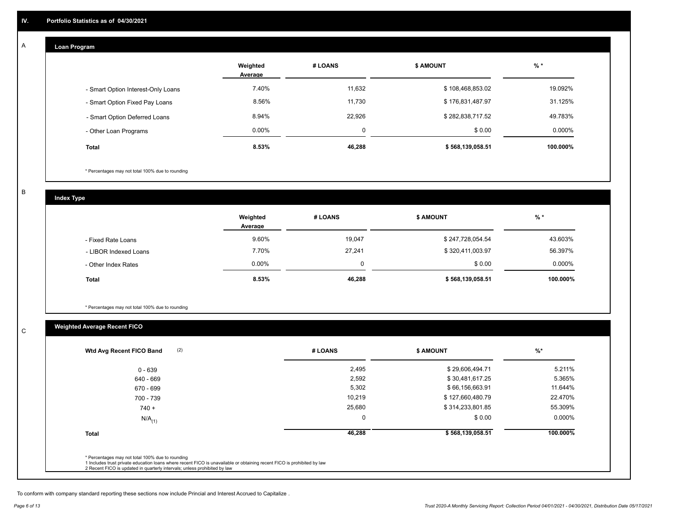#### **Loan Program**  A

|                                    | Weighted<br>Average | # LOANS | <b>\$ AMOUNT</b> | $%$ *    |
|------------------------------------|---------------------|---------|------------------|----------|
| - Smart Option Interest-Only Loans | 7.40%               | 11,632  | \$108,468,853.02 | 19.092%  |
| - Smart Option Fixed Pay Loans     | 8.56%               | 11,730  | \$176,831,487.97 | 31.125%  |
| - Smart Option Deferred Loans      | 8.94%               | 22,926  | \$282,838,717.52 | 49.783%  |
| - Other Loan Programs              | $0.00\%$            | 0       | \$0.00           | 0.000%   |
| <b>Total</b>                       | 8.53%               | 46,288  | \$568,139,058.51 | 100.000% |

\* Percentages may not total 100% due to rounding

B

C

**Index Type**

|                       | Weighted<br>Average | # LOANS | <b>\$ AMOUNT</b> | $%$ *     |
|-----------------------|---------------------|---------|------------------|-----------|
| - Fixed Rate Loans    | 9.60%               | 19,047  | \$247,728,054.54 | 43.603%   |
| - LIBOR Indexed Loans | 7.70%               | 27,241  | \$320,411,003.97 | 56.397%   |
| - Other Index Rates   | $0.00\%$            |         | \$0.00           | $0.000\%$ |
| <b>Total</b>          | 8.53%               | 46,288  | \$568,139,058.51 | 100.000%  |

\* Percentages may not total 100% due to rounding

# **Weighted Average Recent FICO**

| 2,495<br>2,592<br>5,302 | \$29,606,494.71<br>\$30,481,617.25<br>\$66,156,663.91 | 5.211%<br>5.365% |
|-------------------------|-------------------------------------------------------|------------------|
|                         |                                                       |                  |
|                         |                                                       |                  |
|                         |                                                       | 11.644%          |
| 10,219                  | \$127,660,480.79                                      | 22.470%          |
| 25,680                  | \$314,233,801.85                                      | 55.309%          |
| $\mathbf 0$             | \$0.00                                                | 0.000%           |
| 46,288                  | \$568,139,058.51                                      | 100.000%         |
|                         |                                                       |                  |

To conform with company standard reporting these sections now include Princial and Interest Accrued to Capitalize .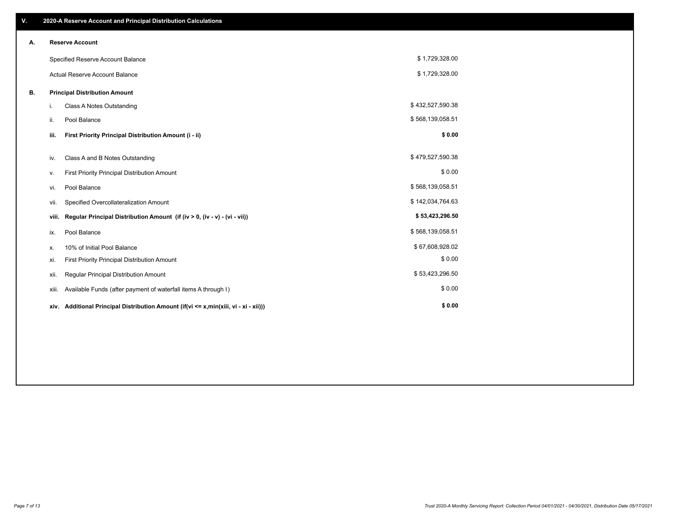| V. |       | 2020-A Reserve Account and Principal Distribution Calculations                       |                  |  |
|----|-------|--------------------------------------------------------------------------------------|------------------|--|
| А. |       | <b>Reserve Account</b>                                                               |                  |  |
|    |       | Specified Reserve Account Balance                                                    | \$1,729,328.00   |  |
|    |       | <b>Actual Reserve Account Balance</b>                                                | \$1,729,328.00   |  |
| В. |       | <b>Principal Distribution Amount</b>                                                 |                  |  |
|    | i.    | Class A Notes Outstanding                                                            | \$432,527,590.38 |  |
|    | ii.   | Pool Balance                                                                         | \$568,139,058.51 |  |
|    | iii.  | First Priority Principal Distribution Amount (i - ii)                                | \$0.00           |  |
|    | iv.   | Class A and B Notes Outstanding                                                      | \$479,527,590.38 |  |
|    | ٧.    | First Priority Principal Distribution Amount                                         | \$0.00           |  |
|    | vi.   | Pool Balance                                                                         | \$568,139,058.51 |  |
|    | vii.  | Specified Overcollateralization Amount                                               | \$142,034,764.63 |  |
|    | viii. | Regular Principal Distribution Amount (if (iv > 0, (iv - v) - (vi - vii))            | \$53,423,296.50  |  |
|    | ix.   | Pool Balance                                                                         | \$568,139,058.51 |  |
|    | х.    | 10% of Initial Pool Balance                                                          | \$67,608,928.02  |  |
|    | xi.   | First Priority Principal Distribution Amount                                         | \$0.00           |  |
|    | xii.  | Regular Principal Distribution Amount                                                | \$53,423,296.50  |  |
|    | xiii. | Available Funds (after payment of waterfall items A through I)                       | \$0.00           |  |
|    |       | xiv. Additional Principal Distribution Amount (if(vi <= x,min(xiii, vi - xi - xii))) | \$0.00           |  |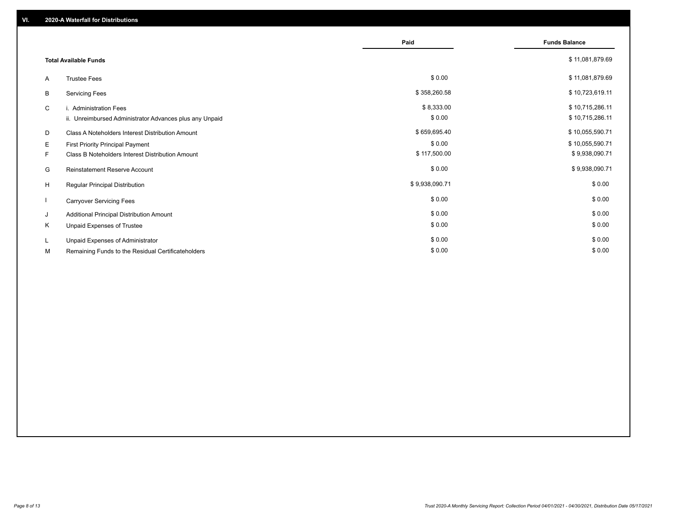|         |                                                                                      | Paid                   | <b>Funds Balance</b>               |
|---------|--------------------------------------------------------------------------------------|------------------------|------------------------------------|
|         | <b>Total Available Funds</b>                                                         |                        | \$11,081,879.69                    |
| A       | <b>Trustee Fees</b>                                                                  | \$0.00                 | \$11,081,879.69                    |
| В       | <b>Servicing Fees</b>                                                                | \$358,260.58           | \$10,723,619.11                    |
| C       | i. Administration Fees<br>ii. Unreimbursed Administrator Advances plus any Unpaid    | \$8,333.00<br>\$0.00   | \$10,715,286.11<br>\$10,715,286.11 |
| D       | Class A Noteholders Interest Distribution Amount                                     | \$659,695.40           | \$10,055,590.71                    |
| Е<br>F. | First Priority Principal Payment<br>Class B Noteholders Interest Distribution Amount | \$0.00<br>\$117,500.00 | \$10,055,590.71<br>\$9,938,090.71  |
| G       | <b>Reinstatement Reserve Account</b>                                                 | \$0.00                 | \$9,938,090.71                     |
| H       | Regular Principal Distribution                                                       | \$9,938,090.71         | \$0.00                             |
|         | <b>Carryover Servicing Fees</b>                                                      | \$0.00                 | \$0.00                             |
| J       | Additional Principal Distribution Amount                                             | \$0.00                 | \$0.00                             |
| Κ       | Unpaid Expenses of Trustee                                                           | \$0.00                 | \$0.00                             |
| L.      | Unpaid Expenses of Administrator                                                     | \$0.00                 | \$0.00                             |
| М       | Remaining Funds to the Residual Certificateholders                                   | \$0.00                 | \$0.00                             |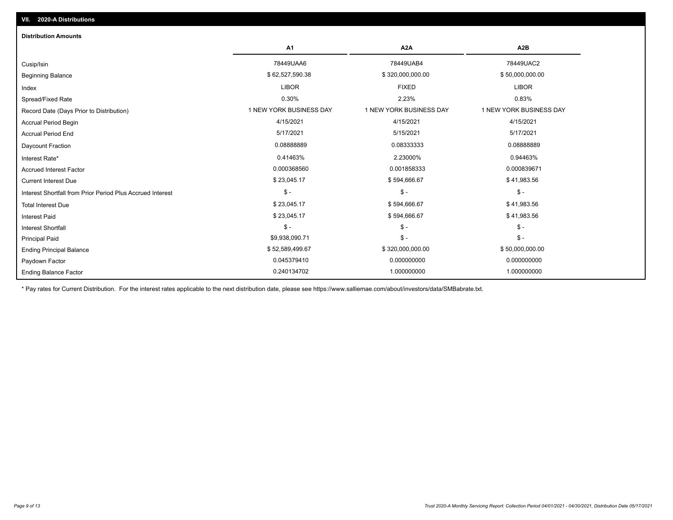| <b>Distribution Amounts</b>                                |                         |                         |                         |
|------------------------------------------------------------|-------------------------|-------------------------|-------------------------|
|                                                            | A <sub>1</sub>          | A <sub>2</sub> A        | A2B                     |
| Cusip/Isin                                                 | 78449UAA6               | 78449UAB4               | 78449UAC2               |
| <b>Beginning Balance</b>                                   | \$62,527,590.38         | \$320,000,000.00        | \$50,000,000.00         |
| Index                                                      | <b>LIBOR</b>            | <b>FIXED</b>            | <b>LIBOR</b>            |
| Spread/Fixed Rate                                          | 0.30%                   | 2.23%                   | 0.83%                   |
| Record Date (Days Prior to Distribution)                   | 1 NEW YORK BUSINESS DAY | 1 NEW YORK BUSINESS DAY | 1 NEW YORK BUSINESS DAY |
| <b>Accrual Period Begin</b>                                | 4/15/2021               | 4/15/2021               | 4/15/2021               |
| <b>Accrual Period End</b>                                  | 5/17/2021               | 5/15/2021               | 5/17/2021               |
| Daycount Fraction                                          | 0.08888889              | 0.08333333              | 0.08888889              |
| Interest Rate*                                             | 0.41463%                | 2.23000%                | 0.94463%                |
| <b>Accrued Interest Factor</b>                             | 0.000368560             | 0.001858333             | 0.000839671             |
| <b>Current Interest Due</b>                                | \$23,045.17             | \$594,666.67            | \$41,983.56             |
| Interest Shortfall from Prior Period Plus Accrued Interest | $\mathsf{\$}$ -         | $\mathsf{\$}$ -         | $$ -$                   |
| <b>Total Interest Due</b>                                  | \$23,045.17             | \$594,666.67            | \$41,983.56             |
| <b>Interest Paid</b>                                       | \$23,045.17             | \$594,666.67            | \$41,983.56             |
| <b>Interest Shortfall</b>                                  | $\mathsf{\$}$ -         | $\mathsf{\$}$ -         | $\mathcal{S}$ -         |
| Principal Paid                                             | \$9,938,090.71          | $\mathsf{\$}$ -         | $$ -$                   |
| <b>Ending Principal Balance</b>                            | \$52,589,499.67         | \$320,000,000.00        | \$50,000,000.00         |
| Paydown Factor                                             | 0.045379410             | 0.000000000             | 0.000000000             |
| <b>Ending Balance Factor</b>                               | 0.240134702             | 1.000000000             | 1.000000000             |

\* Pay rates for Current Distribution. For the interest rates applicable to the next distribution date, please see https://www.salliemae.com/about/investors/data/SMBabrate.txt.

**VII. 2020-A Distributions**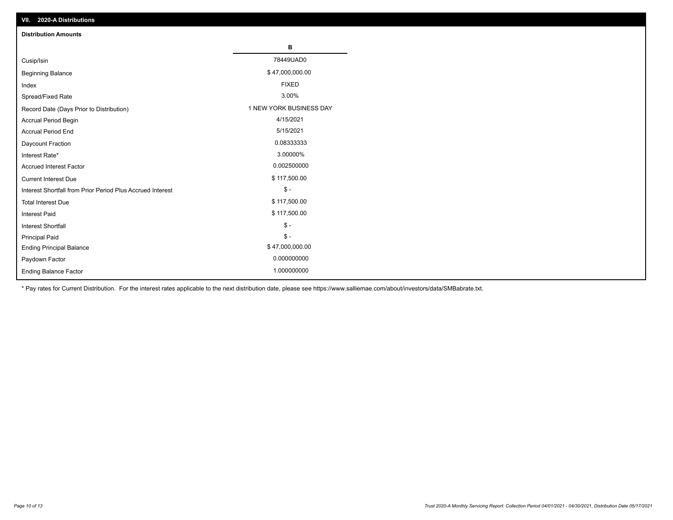| VII. 2020-A Distributions                                  |                         |
|------------------------------------------------------------|-------------------------|
| <b>Distribution Amounts</b>                                |                         |
|                                                            | в                       |
| Cusip/Isin                                                 | 78449UAD0               |
| <b>Beginning Balance</b>                                   | \$47,000,000.00         |
| Index                                                      | <b>FIXED</b>            |
| Spread/Fixed Rate                                          | 3.00%                   |
| Record Date (Days Prior to Distribution)                   | 1 NEW YORK BUSINESS DAY |
| Accrual Period Begin                                       | 4/15/2021               |
| <b>Accrual Period End</b>                                  | 5/15/2021               |
| Daycount Fraction                                          | 0.08333333              |
| Interest Rate*                                             | 3.00000%                |
| <b>Accrued Interest Factor</b>                             | 0.002500000             |
| <b>Current Interest Due</b>                                | \$117,500.00            |
| Interest Shortfall from Prior Period Plus Accrued Interest | $\mathsf{\$}$ -         |
| <b>Total Interest Due</b>                                  | \$117,500.00            |
| <b>Interest Paid</b>                                       | \$117,500.00            |
| Interest Shortfall                                         | $\mathsf{\$}$ -         |
| <b>Principal Paid</b>                                      | $\frac{1}{2}$           |
| <b>Ending Principal Balance</b>                            | \$47,000,000.00         |
| Paydown Factor                                             | 0.000000000             |
| <b>Ending Balance Factor</b>                               | 1.000000000             |

\* Pay rates for Current Distribution. For the interest rates applicable to the next distribution date, please see https://www.salliemae.com/about/investors/data/SMBabrate.txt.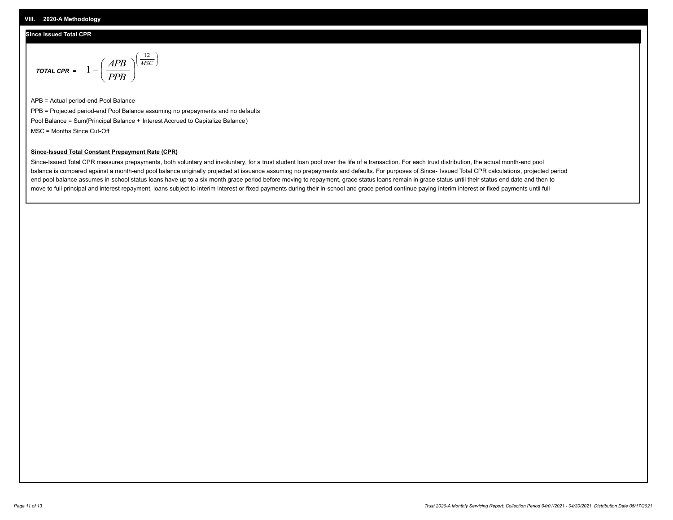### **Since Issued Total CPR**

$$
\text{total CPR} = 1 - \left(\frac{APB}{PPB}\right)^{\left(\frac{12}{MSC}\right)}
$$

APB = Actual period-end Pool Balance PPB = Projected period-end Pool Balance assuming no prepayments and no defaults Pool Balance = Sum(Principal Balance + Interest Accrued to Capitalize Balance) MSC = Months Since Cut-Off

### **Since-Issued Total Constant Prepayment Rate (CPR)**

Since-Issued Total CPR measures prepayments, both voluntary and involuntary, for a trust student loan pool over the life of a transaction. For each trust distribution, the actual month-end pool balance is compared against a month-end pool balance originally projected at issuance assuming no prepayments and defaults. For purposes of Since- Issued Total CPR calculations, projected period end pool balance assumes in-school status loans have up to a six month grace period before moving to repayment, grace status loans remain in grace status until their status end date and then to move to full principal and interest repayment, loans subject to interim interest or fixed payments during their in-school and grace period continue paying interim interest or fixed payments until full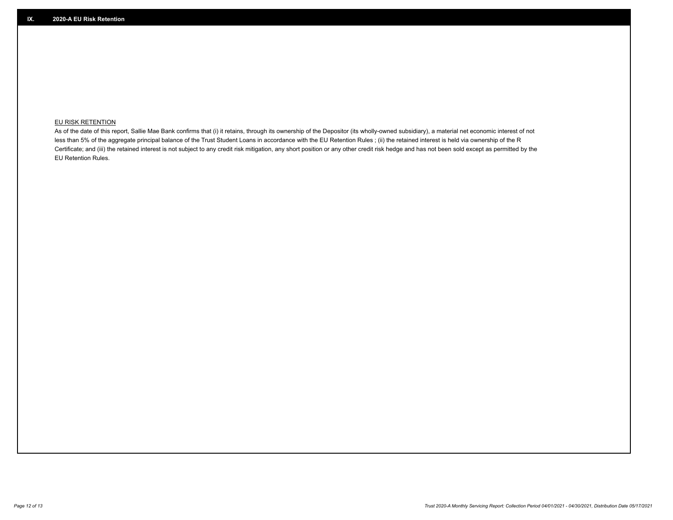## **EU RISK RETENTION**

As of the date of this report, Sallie Mae Bank confirms that (i) it retains, through its ownership of the Depositor (its wholly-owned subsidiary), a material net economic interest of not less than 5% of the aggregate principal balance of the Trust Student Loans in accordance with the EU Retention Rules ; (ii) the retained interest is held via ownership of the R Certificate; and (iii) the retained interest is not subject to any credit risk mitigation, any short position or any other credit risk hedge and has not been sold except as permitted by the EU Retention Rules.